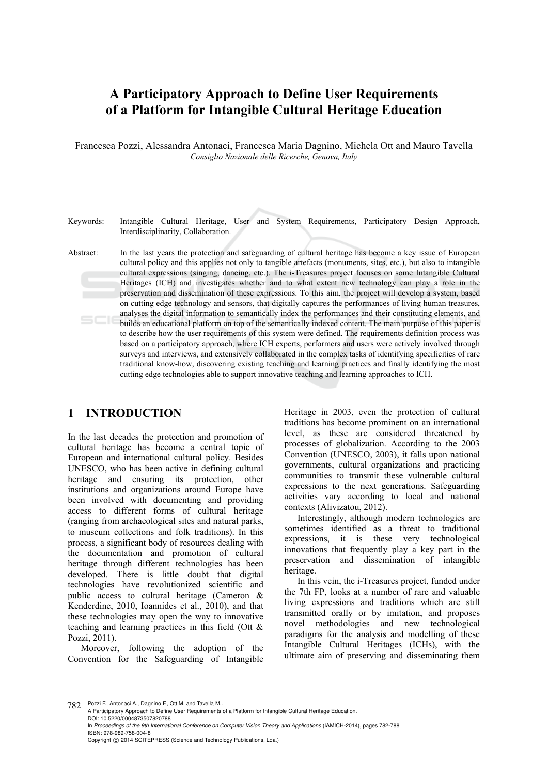# **A Participatory Approach to Define User Requirements of a Platform for Intangible Cultural Heritage Education**

Francesca Pozzi, Alessandra Antonaci, Francesca Maria Dagnino, Michela Ott and Mauro Tavella *Consiglio Nazionale delle Ricerche, Genova, Italy* 

Keywords: Intangible Cultural Heritage, User and System Requirements, Participatory Design Approach, Interdisciplinarity, Collaboration. Abstract: In the last years the protection and safeguarding of cultural heritage has become a key issue of European cultural policy and this applies not only to tangible artefacts (monuments, sites, etc.), but also to intangible cultural expressions (singing, dancing, etc.). The i-Treasures project focuses on some Intangible Cultural Heritages (ICH) and investigates whether and to what extent new technology can play a role in the preservation and dissemination of these expressions. To this aim, the project will develop a system, based on cutting edge technology and sensors, that digitally captures the performances of living human treasures, analyses the digital information to semantically index the performances and their constituting elements, and builds an educational platform on top of the semantically indexed content. The main purpose of this paper is to describe how the user requirements of this system were defined. The requirements definition process was based on a participatory approach, where ICH experts, performers and users were actively involved through surveys and interviews, and extensively collaborated in the complex tasks of identifying specificities of rare traditional know-how, discovering existing teaching and learning practices and finally identifying the most cutting edge technologies able to support innovative teaching and learning approaches to ICH.

### **1 INTRODUCTION**

In the last decades the protection and promotion of cultural heritage has become a central topic of European and international cultural policy. Besides UNESCO, who has been active in defining cultural heritage and ensuring its protection, other institutions and organizations around Europe have been involved with documenting and providing access to different forms of cultural heritage (ranging from archaeological sites and natural parks, to museum collections and folk traditions). In this process, a significant body of resources dealing with the documentation and promotion of cultural heritage through different technologies has been developed. There is little doubt that digital technologies have revolutionized scientific and public access to cultural heritage (Cameron & Kenderdine, 2010, Ioannides et al., 2010), and that these technologies may open the way to innovative teaching and learning practices in this field (Ott & Pozzi, 2011).

Moreover, following the adoption of the Convention for the Safeguarding of Intangible Heritage in 2003, even the protection of cultural traditions has become prominent on an international level, as these are considered threatened by processes of globalization. According to the 2003 Convention (UNESCO, 2003), it falls upon national governments, cultural organizations and practicing communities to transmit these vulnerable cultural expressions to the next generations. Safeguarding activities vary according to local and national contexts (Alivizatou, 2012).

Interestingly, although modern technologies are sometimes identified as a threat to traditional expressions, it is these very technological innovations that frequently play a key part in the preservation and dissemination of intangible heritage.

In this vein, the i-Treasures project, funded under the 7th FP, looks at a number of rare and valuable living expressions and traditions which are still transmitted orally or by imitation, and proposes novel methodologies and new technological paradigms for the analysis and modelling of these Intangible Cultural Heritages (ICHs), with the ultimate aim of preserving and disseminating them

782 Pozzi F., Antonaci A., Dagnino F., Ott M. and Tavella M..

A Participatory Approach to Define User Requirements of a Platform for Intangible Cultural Heritage Education. DOI: 10.5220/0004873507820788 In *Proceedings of the 9th International Conference on Computer Vision Theory and Applications* (IAMICH-2014), pages 782-788 ISBN: 978-989-758-004-8 Copyright © 2014 SCITEPRESS (Science and Technology Publications, Lda.)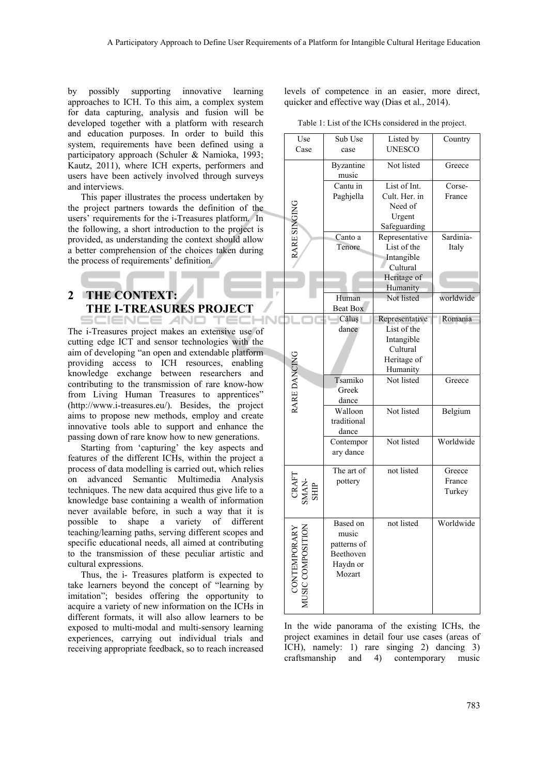-INT

by possibly supporting innovative learning approaches to ICH. To this aim, a complex system for data capturing, analysis and fusion will be developed together with a platform with research and education purposes. In order to build this system, requirements have been defined using a participatory approach (Schuler & Namioka, 1993; Kautz, 2011), where ICH experts, performers and users have been actively involved through surveys and interviews.

This paper illustrates the process undertaken by the project partners towards the definition of the users' requirements for the i-Treasures platform. In the following, a short introduction to the project is provided, as understanding the context should allow a better comprehension of the choices taken during the process of requirements' definition.

# **2 THE CONTEXT: THE I-TREASURES PROJECT**

SCIENCE *A*ND TECH The i-Treasures project makes an extensive use of cutting edge ICT and sensor technologies with the aim of developing "an open and extendable platform providing access to ICH resources, enabling knowledge exchange between researchers and contributing to the transmission of rare know-how from Living Human Treasures to apprentices" (http://www.i-treasures.eu/). Besides, the project aims to propose new methods, employ and create innovative tools able to support and enhance the passing down of rare know how to new generations.

Starting from 'capturing' the key aspects and features of the different ICHs, within the project a process of data modelling is carried out, which relies on advanced Semantic Multimedia Analysis techniques. The new data acquired thus give life to a knowledge base containing a wealth of information never available before, in such a way that it is possible to shape a variety of different teaching/learning paths, serving different scopes and specific educational needs, all aimed at contributing to the transmission of these peculiar artistic and cultural expressions.

Thus, the i- Treasures platform is expected to take learners beyond the concept of "learning by imitation"; besides offering the opportunity to acquire a variety of new information on the ICHs in different formats, it will also allow learners to be exposed to multi-modal and multi-sensory learning experiences, carrying out individual trials and receiving appropriate feedback, so to reach increased

levels of competence in an easier, more direct, quicker and effective way (Dias et al., 2014).

Table 1: List of the ICHs considered in the project.

| Use                       | Sub Use                  | Listed by               | Country   |
|---------------------------|--------------------------|-------------------------|-----------|
| Case                      | case                     | <b>UNESCO</b>           |           |
|                           | <b>Byzantine</b>         | Not listed              | Greece    |
|                           | music                    |                         |           |
|                           | Cantu in                 | List of Int.            | Corse-    |
|                           | Paghjella                | Cult. Her. in           | France    |
|                           |                          | Need of                 |           |
|                           |                          | Urgent                  |           |
|                           |                          | Safeguarding            |           |
| RARE SINGING              | Canto a                  | Representative          | Sardinia- |
|                           | Tenore                   | List of the             | Italy     |
|                           |                          | Intangible              |           |
|                           |                          | Cultural                |           |
|                           |                          | Heritage of<br>Humanity |           |
|                           | Human                    | Not listed              | worldwide |
|                           | <b>Beat Box</b>          |                         |           |
|                           | Căluș                    | Representative          | Romania   |
|                           | dance                    | List of the             |           |
|                           |                          | Intangible              |           |
|                           |                          | Cultural                |           |
| RARE DANCING              |                          | Heritage of             |           |
|                           |                          | Humanity                |           |
|                           | Tsamiko                  | Not listed              | Greece    |
|                           | Greek                    |                         |           |
|                           | dance                    | Not listed              |           |
|                           | Walloon<br>traditional   |                         | Belgium   |
|                           | dance                    |                         |           |
|                           | Contempor                | Not listed              | Worldwide |
|                           | ary dance                |                         |           |
|                           |                          |                         |           |
|                           | The art of               | not listed              | Greece    |
|                           | pottery                  |                         | France    |
|                           |                          |                         | Turkey    |
| CRAFT<br>SMAN-<br>SHIP    |                          |                         |           |
|                           |                          |                         |           |
|                           | Based on                 | not listed              | Worldwide |
|                           | music                    |                         |           |
|                           | patterns of<br>Beethoven |                         |           |
|                           | Haydn or                 |                         |           |
|                           | Mozart                   |                         |           |
|                           |                          |                         |           |
| CONTEMPOR<br>USIC COMPOSI |                          |                         |           |
|                           |                          |                         |           |

In the wide panorama of the existing ICHs, the project examines in detail four use cases (areas of ICH), namely: 1) rare singing 2) dancing 3) craftsmanship and 4) contemporary music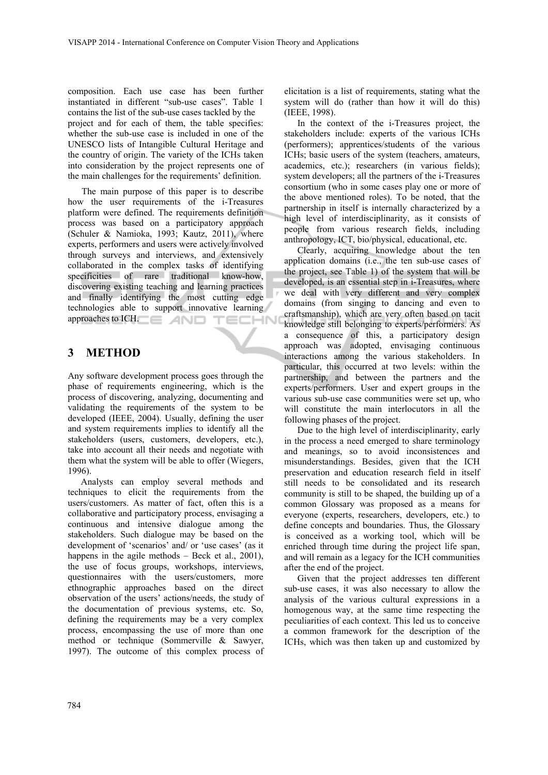composition. Each use case has been further instantiated in different "sub-use cases". Table 1 contains the list of the sub-use cases tackled by the project and for each of them, the table specifies: whether the sub-use case is included in one of the UNESCO lists of Intangible Cultural Heritage and the country of origin. The variety of the ICHs taken into consideration by the project represents one of the main challenges for the requirements' definition.

The main purpose of this paper is to describe how the user requirements of the i-Treasures platform were defined. The requirements definition process was based on a participatory approach (Schuler & Namioka, 1993; Kautz, 2011), where experts, performers and users were actively involved through surveys and interviews, and extensively collaborated in the complex tasks of identifying specificities of rare traditional know-how, discovering existing teaching and learning practices and finally identifying the most cutting edge technologies able to support innovative learning approaches to ICH. **TECHN** 

## **3 METHOD**

Any software development process goes through the phase of requirements engineering, which is the process of discovering, analyzing, documenting and validating the requirements of the system to be developed (IEEE, 2004). Usually, defining the user and system requirements implies to identify all the stakeholders (users, customers, developers, etc.), take into account all their needs and negotiate with them what the system will be able to offer (Wiegers, 1996).

Analysts can employ several methods and techniques to elicit the requirements from the users/customers. As matter of fact, often this is a collaborative and participatory process, envisaging a continuous and intensive dialogue among the stakeholders. Such dialogue may be based on the development of 'scenarios' and/ or 'use cases' (as it happens in the agile methods – Beck et al., 2001), the use of focus groups, workshops, interviews, questionnaires with the users/customers, more ethnographic approaches based on the direct observation of the users' actions/needs, the study of the documentation of previous systems, etc. So, defining the requirements may be a very complex process, encompassing the use of more than one method or technique (Sommerville & Sawyer, 1997). The outcome of this complex process of

elicitation is a list of requirements, stating what the system will do (rather than how it will do this) (IEEE, 1998).

In the context of the i-Treasures project, the stakeholders include: experts of the various ICHs (performers); apprentices/students of the various ICHs; basic users of the system (teachers, amateurs, academics, etc.); researchers (in various fields); system developers; all the partners of the i-Treasures consortium (who in some cases play one or more of the above mentioned roles). To be noted, that the partnership in itself is internally characterized by a high level of interdisciplinarity, as it consists of people from various research fields, including anthropology, ICT, bio/physical, educational, etc.

Clearly, acquiring knowledge about the ten application domains (i.e., the ten sub-use cases of the project, see Table 1) of the system that will be developed, is an essential step in i-Treasures, where we deal with very different and very complex domains (from singing to dancing and even to craftsmanship), which are very often based on tacit knowledge still belonging to experts/performers. As a consequence of this, a participatory design approach was adopted, envisaging continuous interactions among the various stakeholders. In particular, this occurred at two levels: within the partnership, and between the partners and the experts/performers. User and expert groups in the various sub-use case communities were set up, who will constitute the main interlocutors in all the following phases of the project.

Due to the high level of interdisciplinarity, early in the process a need emerged to share terminology and meanings, so to avoid inconsistences and misunderstandings. Besides, given that the ICH preservation and education research field in itself still needs to be consolidated and its research community is still to be shaped, the building up of a common Glossary was proposed as a means for everyone (experts, researchers, developers, etc.) to define concepts and boundaries. Thus, the Glossary is conceived as a working tool, which will be enriched through time during the project life span, and will remain as a legacy for the ICH communities after the end of the project.

Given that the project addresses ten different sub-use cases, it was also necessary to allow the analysis of the various cultural expressions in a homogenous way, at the same time respecting the peculiarities of each context. This led us to conceive a common framework for the description of the ICHs, which was then taken up and customized by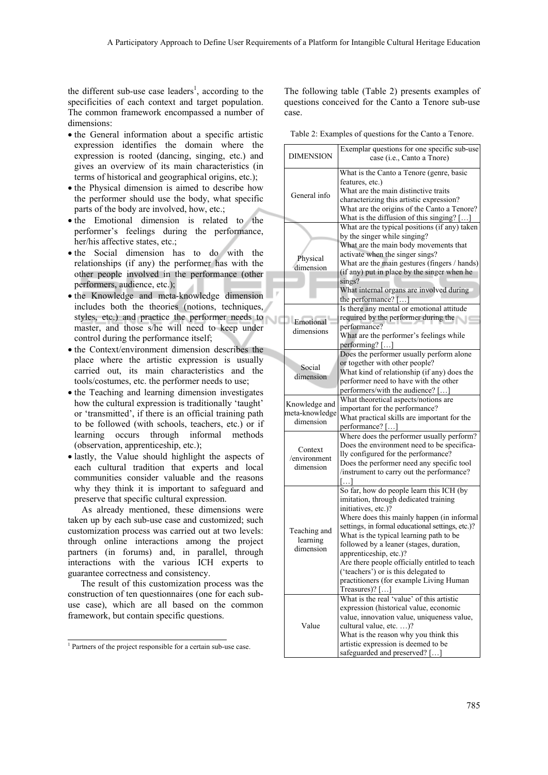the different sub-use case leaders<sup>1</sup>, according to the specificities of each context and target population. The common framework encompassed a number of dimensions:

- the General information about a specific artistic expression identifies the domain where the expression is rooted (dancing, singing, etc.) and gives an overview of its main characteristics (in terms of historical and geographical origins, etc.);
- the Physical dimension is aimed to describe how the performer should use the body, what specific parts of the body are involved, how, etc.;
- the Emotional dimension is related to the performer's feelings during the performance, her/his affective states, etc.;
- the Social dimension has to do with the relationships (if any) the performer has with the other people involved in the performance (other performers, audience, etc.);
- the Knowledge and meta-knowledge dimension includes both the theories (notions, techniques, styles, etc.) and practice the performer needs to master, and those s/he will need to keep under control during the performance itself;
- the Context/environment dimension describes the place where the artistic expression is usually carried out, its main characteristics and the tools/costumes, etc. the performer needs to use;
- the Teaching and learning dimension investigates how the cultural expression is traditionally 'taught' or 'transmitted', if there is an official training path to be followed (with schools, teachers, etc.) or if learning occurs through informal methods (observation, apprenticeship, etc.);
- lastly, the Value should highlight the aspects of each cultural tradition that experts and local communities consider valuable and the reasons why they think it is important to safeguard and preserve that specific cultural expression.

As already mentioned, these dimensions were taken up by each sub-use case and customized; such customization process was carried out at two levels: through online interactions among the project partners (in forums) and, in parallel, through interactions with the various ICH experts to guarantee correctness and consistency.

The result of this customization process was the construction of ten questionnaires (one for each subuse case), which are all based on the common framework, but contain specific questions.

The following table (Table 2) presents examples of questions conceived for the Canto a Tenore sub-use case.

Table 2: Examples of questions for the Canto a Tenore.

| <b>DIMENSION</b>                             | Exemplar questions for one specific sub-use<br>case (i.e., Canto a Tnore)                                                                                                                                                                                                                                                                                                                                                                                                           |
|----------------------------------------------|-------------------------------------------------------------------------------------------------------------------------------------------------------------------------------------------------------------------------------------------------------------------------------------------------------------------------------------------------------------------------------------------------------------------------------------------------------------------------------------|
| General info                                 | What is the Canto a Tenore (genre, basic<br>features, etc.)<br>What are the main distinctive traits<br>characterizing this artistic expression?<br>What are the origins of the Canto a Tenore?<br>What is the diffusion of this singing? []                                                                                                                                                                                                                                         |
| Physical<br>dimension                        | What are the typical positions (if any) taken<br>by the singer while singing?<br>What are the main body movements that<br>activate when the singer sings?<br>What are the main gestures (fingers / hands)<br>(if any) put in place by the singer when he<br>sings?<br>What internal organs are involved during<br>the performance? $[]$                                                                                                                                             |
| Emotional<br>dimensions                      | Is there any mental or emotional attitude<br>required by the performer during the<br>performance?<br>What are the performer's feelings while<br>performing? []                                                                                                                                                                                                                                                                                                                      |
| Social<br>dimension                          | Does the performer usually perform alone<br>or together with other people?<br>What kind of relationship (if any) does the<br>performer need to have with the other<br>performers/with the audience? []                                                                                                                                                                                                                                                                              |
| Knowledge and<br>meta-knowledge<br>dimension | What theoretical aspects/notions are<br>important for the performance?<br>What practical skills are important for the<br>performance? []                                                                                                                                                                                                                                                                                                                                            |
| Context<br>/environment<br>dimension         | Where does the performer usually perform?<br>Does the environment need to be specifica-<br>lly configured for the performance?<br>Does the performer need any specific tool<br>/instrument to carry out the performance?                                                                                                                                                                                                                                                            |
| Teaching and<br>learning<br>dimension        | So far, how do people learn this ICH (by<br>imitation, through dedicated training<br>initiatives, etc.)?<br>Where does this mainly happen (in informal<br>settings, in formal educational settings, etc.)?<br>What is the typical learning path to be<br>followed by a leaner (stages, duration,<br>apprenticeship, etc.)?<br>Are there people officially entitled to teach<br>('teachers') or is this delegated to<br>practitioners (for example Living Human<br>Treasures $)?$ [] |
| Value                                        | What is the real 'value' of this artistic<br>expression (historical value, economic<br>value, innovation value, uniqueness value,<br>cultural value, etc. )?<br>What is the reason why you think this<br>artistic expression is deemed to be<br>safeguarded and preserved? []                                                                                                                                                                                                       |

<sup>1</sup> Partners of the project responsible for a certain sub-use case.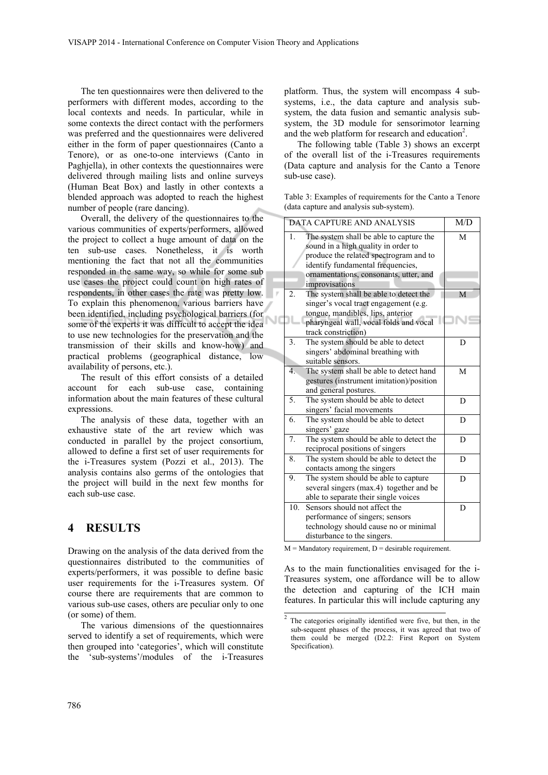The ten questionnaires were then delivered to the performers with different modes, according to the local contexts and needs. In particular, while in some contexts the direct contact with the performers was preferred and the questionnaires were delivered either in the form of paper questionnaires (Canto a Tenore), or as one-to-one interviews (Canto in Paghjella), in other contexts the questionnaires were delivered through mailing lists and online surveys (Human Beat Box) and lastly in other contexts a blended approach was adopted to reach the highest number of people (rare dancing).

Overall, the delivery of the questionnaires to the various communities of experts/performers, allowed the project to collect a huge amount of data on the ten sub-use cases. Nonetheless, it is worth mentioning the fact that not all the communities responded in the same way, so while for some sub use cases the project could count on high rates of respondents, in other cases the rate was pretty low. To explain this phenomenon, various barriers have been identified, including psychological barriers (for NC some of the experts it was difficult to accept the idea to use new technologies for the preservation and the transmission of their skills and know-how) and practical problems (geographical distance, low availability of persons, etc.).

The result of this effort consists of a detailed account for each sub-use case, containing information about the main features of these cultural expressions.

The analysis of these data, together with an exhaustive state of the art review which was conducted in parallel by the project consortium, allowed to define a first set of user requirements for the i-Treasures system (Pozzi et al., 2013). The analysis contains also germs of the ontologies that the project will build in the next few months for each sub-use case.

#### **4 RESULTS**

Drawing on the analysis of the data derived from the questionnaires distributed to the communities of experts/performers, it was possible to define basic user requirements for the i-Treasures system. Of course there are requirements that are common to various sub-use cases, others are peculiar only to one (or some) of them.

The various dimensions of the questionnaires served to identify a set of requirements, which were then grouped into 'categories', which will constitute the 'sub-systems'/modules of the i-Treasures

platform. Thus, the system will encompass 4 subsystems, i.e., the data capture and analysis subsystem, the data fusion and semantic analysis subsystem, the 3D module for sensorimotor learning and the web platform for research and education<sup>2</sup>.

The following table (Table 3) shows an excerpt of the overall list of the i-Treasures requirements (Data capture and analysis for the Canto a Tenore sub-use case).

Table 3: Examples of requirements for the Canto a Tenore (data capture and analysis sub-system).

| <b>DATA CAPTURE AND ANALYSIS</b> | M/D                                                                                                                                                                                   |   |
|----------------------------------|---------------------------------------------------------------------------------------------------------------------------------------------------------------------------------------|---|
| $\mathbf{1}$ .                   | M                                                                                                                                                                                     |   |
|                                  | ornamentations, consonants, utter, and<br>improvisations                                                                                                                              |   |
| 2.                               | The system shall be able to detect the<br>singer's vocal tract engagement (e.g.<br>tongue, mandibles, lips, anterior<br>pharyngeal wall, vocal folds and vocal<br>track constriction) | M |
| 3.                               | The system should be able to detect<br>singers' abdominal breathing with<br>suitable sensors.                                                                                         | D |
| $\overline{4}$ .                 | The system shall be able to detect hand<br>gestures (instrument imitation)/position<br>and general postures.                                                                          | M |
| 5.                               | The system should be able to detect<br>singers' facial movements                                                                                                                      | D |
| 6.                               | The system should be able to detect<br>singers' gaze                                                                                                                                  | D |
| 7.                               | The system should be able to detect the<br>reciprocal positions of singers                                                                                                            | D |
| 8.                               | The system should be able to detect the<br>contacts among the singers                                                                                                                 | D |
| 9.                               | The system should be able to capture<br>several singers (max.4) together and be<br>able to separate their single voices                                                               | D |
| 10 <sub>1</sub>                  | Sensors should not affect the<br>performance of singers; sensors<br>technology should cause no or minimal<br>disturbance to the singers.                                              | D |

 $M =$  Mandatory requirement,  $D =$  desirable requirement.

As to the main functionalities envisaged for the i-Treasures system, one affordance will be to allow the detection and capturing of the ICH main features. In particular this will include capturing any

 $\frac{2}{2}$  The categories originally identified were five, but then, in the sub-sequent phases of the process, it was agreed that two of them could be merged (D2.2: First Report on System Specification).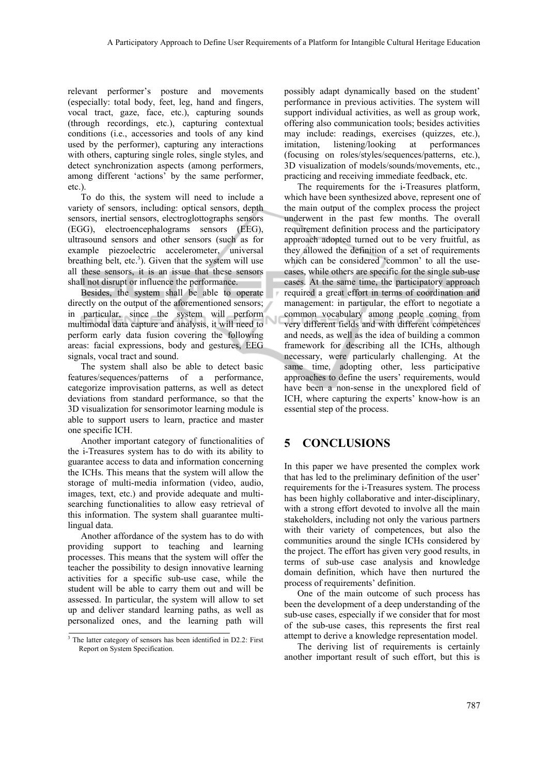relevant performer's posture and movements (especially: total body, feet, leg, hand and fingers, vocal tract, gaze, face, etc.), capturing sounds (through recordings, etc.), capturing contextual conditions (i.e., accessories and tools of any kind used by the performer), capturing any interactions with others, capturing single roles, single styles, and detect synchronization aspects (among performers, among different 'actions' by the same performer, etc.).

To do this, the system will need to include a variety of sensors, including: optical sensors, depth sensors, inertial sensors, electroglottographs sensors (EGG), electroencephalograms sensors (EEG), ultrasound sensors and other sensors (such as for example piezoelectric accelerometer, universal breathing belt, etc.<sup>3</sup>). Given that the system will use all these sensors, it is an issue that these sensors shall not disrupt or influence the performance.

Besides, the system shall be able to operate directly on the output of the aforementioned sensors; in particular, since the system will perform multimodal data capture and analysis, it will need to perform early data fusion covering the following areas: facial expressions, body and gestures, EEG signals, vocal tract and sound.

The system shall also be able to detect basic features/sequences/patterns of a performance, categorize improvisation patterns, as well as detect deviations from standard performance, so that the 3D visualization for sensorimotor learning module is able to support users to learn, practice and master one specific ICH.

Another important category of functionalities of the i-Treasures system has to do with its ability to guarantee access to data and information concerning the ICHs. This means that the system will allow the storage of multi-media information (video, audio, images, text, etc.) and provide adequate and multisearching functionalities to allow easy retrieval of this information. The system shall guarantee multilingual data.

Another affordance of the system has to do with providing support to teaching and learning processes. This means that the system will offer the teacher the possibility to design innovative learning activities for a specific sub-use case, while the student will be able to carry them out and will be assessed. In particular, the system will allow to set up and deliver standard learning paths, as well as personalized ones, and the learning path will

possibly adapt dynamically based on the student' performance in previous activities. The system will support individual activities, as well as group work, offering also communication tools; besides activities may include: readings, exercises (quizzes, etc.), imitation, listening/looking at performances (focusing on roles/styles/sequences/patterns, etc.), 3D visualization of models/sounds/movements, etc., practicing and receiving immediate feedback, etc.

The requirements for the i-Treasures platform, which have been synthesized above, represent one of the main output of the complex process the project underwent in the past few months. The overall requirement definition process and the participatory approach adopted turned out to be very fruitful, as they allowed the definition of a set of requirements which can be considered 'common' to all the usecases, while others are specific for the single sub-use cases. At the same time, the participatory approach required a great effort in terms of coordination and management: in particular, the effort to negotiate a common vocabulary among people coming from very different fields and with different competences and needs, as well as the idea of building a common framework for describing all the ICHs, although necessary, were particularly challenging. At the same time, adopting other, less participative approaches to define the users' requirements, would have been a non-sense in the unexplored field of ICH, where capturing the experts' know-how is an essential step of the process.

### **5 CONCLUSIONS**

In this paper we have presented the complex work that has led to the preliminary definition of the user' requirements for the i-Treasures system. The process has been highly collaborative and inter-disciplinary, with a strong effort devoted to involve all the main stakeholders, including not only the various partners with their variety of competences, but also the communities around the single ICHs considered by the project. The effort has given very good results, in terms of sub-use case analysis and knowledge domain definition, which have then nurtured the process of requirements' definition.

One of the main outcome of such process has been the development of a deep understanding of the sub-use cases, especially if we consider that for most of the sub-use cases, this represents the first real attempt to derive a knowledge representation model.

The deriving list of requirements is certainly another important result of such effort, but this is

<sup>&</sup>lt;sup>3</sup> The latter category of sensors has been identified in D2.2: First Report on System Specification.